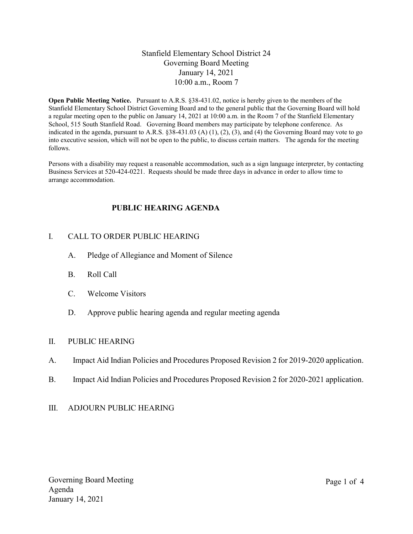## Stanfield Elementary School District 24 Governing Board Meeting January 14, 2021 10:00 a.m., Room 7

Open Public Meeting Notice. Pursuant to A.R.S. §38-431.02, notice is hereby given to the members of the Stanfield Elementary School District Governing Board and to the general public that the Governing Board will hold a regular meeting open to the public on January 14, 2021 at 10:00 a.m. in the Room 7 of the Stanfield Elementary School, 515 South Stanfield Road. Governing Board members may participate by telephone conference. As indicated in the agenda, pursuant to A.R.S. §38-431.03 (A) (1), (2), (3), and (4) the Governing Board may vote to go into executive session, which will not be open to the public, to discuss certain matters. The agenda for the meeting follows.

Persons with a disability may request a reasonable accommodation, such as a sign language interpreter, by contacting Business Services at 520-424-0221. Requests should be made three days in advance in order to allow time to arrange accommodation.

# PUBLIC HEARING AGENDA

## I. CALL TO ORDER PUBLIC HEARING

- A. Pledge of Allegiance and Moment of Silence
- B. Roll Call
- C. Welcome Visitors
- D. Approve public hearing agenda and regular meeting agenda

#### II. PUBLIC HEARING

- A. Impact Aid Indian Policies and Procedures Proposed Revision 2 for 2019-2020 application.
- B. Impact Aid Indian Policies and Procedures Proposed Revision 2 for 2020-2021 application.

#### III. ADJOURN PUBLIC HEARING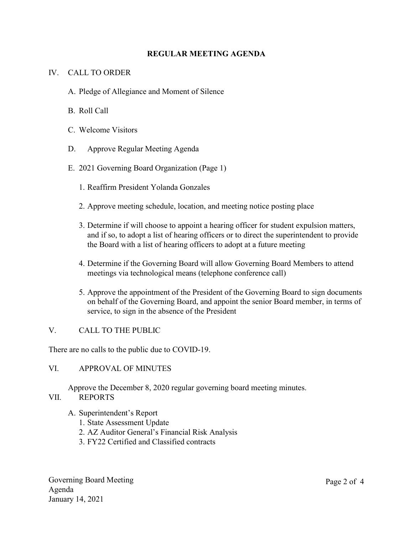## REGULAR MEETING AGENDA

## IV. CALL TO ORDER

- A. Pledge of Allegiance and Moment of Silence
- B. Roll Call
- C. Welcome Visitors
- D. Approve Regular Meeting Agenda
- E. 2021 Governing Board Organization (Page 1)
	- 1. Reaffirm President Yolanda Gonzales
	- 2. Approve meeting schedule, location, and meeting notice posting place
	- 3. Determine if will choose to appoint a hearing officer for student expulsion matters, and if so, to adopt a list of hearing officers or to direct the superintendent to provide the Board with a list of hearing officers to adopt at a future meeting
	- 4. Determine if the Governing Board will allow Governing Board Members to attend meetings via technological means (telephone conference call)
	- 5. Approve the appointment of the President of the Governing Board to sign documents on behalf of the Governing Board, and appoint the senior Board member, in terms of service, to sign in the absence of the President

#### V. CALL TO THE PUBLIC

There are no calls to the public due to COVID-19.

#### VI. APPROVAL OF MINUTES

Approve the December 8, 2020 regular governing board meeting minutes.

#### VII. REPORTS

- A. Superintendent's Report
	- 1. State Assessment Update
	- 2. AZ Auditor General's Financial Risk Analysis
	- 3. FY22 Certified and Classified contracts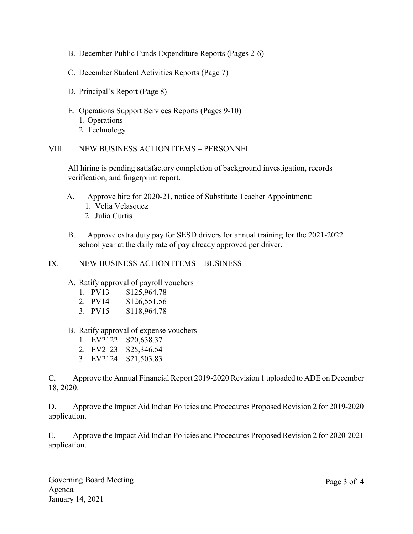- B. December Public Funds Expenditure Reports (Pages 2-6)
- C. December Student Activities Reports (Page 7)
- D. Principal's Report (Page 8)
- E. Operations Support Services Reports (Pages 9-10) 1. Operations 2. Technology

VIII. NEW BUSINESS ACTION ITEMS – PERSONNEL

All hiring is pending satisfactory completion of background investigation, records verification, and fingerprint report.

- A. Approve hire for 2020-21, notice of Substitute Teacher Appointment:
	- 1. Velia Velasquez
	- 2. Julia Curtis
- B. Approve extra duty pay for SESD drivers for annual training for the 2021-2022 school year at the daily rate of pay already approved per driver.

#### IX. NEW BUSINESS ACTION ITEMS – BUSINESS

#### A. Ratify approval of payroll vouchers

- 1. PV13 \$125,964.78
- 2. PV14 \$126,551.56
- 3. PV15 \$118,964.78
- B. Ratify approval of expense vouchers
	- 1. EV2122 \$20,638.37
	- 2. EV2123 \$25,346.54
	- 3. EV2124 \$21,503.83

C. Approve the Annual Financial Report 2019-2020 Revision 1 uploaded to ADE on December 18, 2020.

D. Approve the Impact Aid Indian Policies and Procedures Proposed Revision 2 for 2019-2020 application.

E. Approve the Impact Aid Indian Policies and Procedures Proposed Revision 2 for 2020-2021 application.

Governing Board Meeting Agenda January 14, 2021